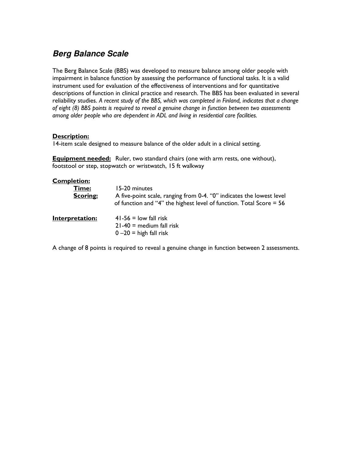# **Berg Balance Scale**

The Berg Balance Scale (BBS) was developed to measure balance among older people with impairment in balance function by assessing the performance of functional tasks. It is a valid instrument used for evaluation of the effectiveness of interventions and for quantitative descriptions of function in clinical practice and research. The BBS has been evaluated in several reliability studies. A recent study of the BBS, which was completed in Finland, indicates that a change of eight (8) BBS points is required to reveal a genuine change in function between two assessments among older people who are dependent in ADL and living in residential care facilities.

# Description:

14-item scale designed to measure balance of the older adult in a clinical setting.

**Equipment needed:** Ruler, two standard chairs (one with arm rests, one without), footstool or step, stopwatch or wristwatch, 15 ft walkway

# Completion:

| Time:<br><b>Scoring:</b> | 15-20 minutes<br>A five-point scale, ranging from 0-4. "0" indicates the lowest level<br>of function and "4" the highest level of function. Total Score $= 56$ |
|--------------------------|----------------------------------------------------------------------------------------------------------------------------------------------------------------|
| Interpretation:          | $41-56 =$ low fall risk<br>$21-40$ = medium fall risk<br>$0 - 20 =$ high fall risk                                                                             |

A change of 8 points is required to reveal a genuine change in function between 2 assessments.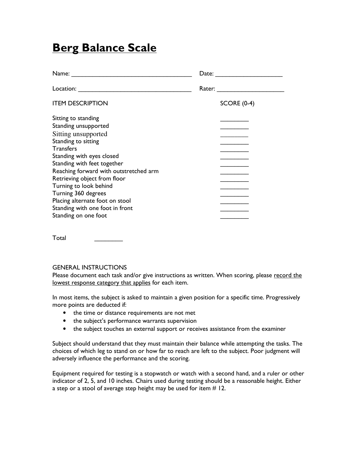# **Berg Balance Scale**

| Name:                                                                                                                                                                                                                                                                                                                                                                                              | Date: $\frac{1}{\sqrt{1-\frac{1}{2}}\cdot\frac{1}{2}}$ |
|----------------------------------------------------------------------------------------------------------------------------------------------------------------------------------------------------------------------------------------------------------------------------------------------------------------------------------------------------------------------------------------------------|--------------------------------------------------------|
|                                                                                                                                                                                                                                                                                                                                                                                                    | Rater:                                                 |
| <b>ITEM DESCRIPTION</b>                                                                                                                                                                                                                                                                                                                                                                            | <b>SCORE (0-4)</b>                                     |
| Sitting to standing<br>Standing unsupported<br>Sitting unsupported<br>Standing to sitting<br><b>Transfers</b><br>Standing with eyes closed<br>Standing with feet together<br>Reaching forward with outstretched arm<br>Retrieving object from floor<br>Turning to look behind<br>Turning 360 degrees<br>Placing alternate foot on stool<br>Standing with one foot in front<br>Standing on one foot |                                                        |

Total \_\_\_\_\_\_\_\_

# GENERAL INSTRUCTIONS

Please document each task and/or give instructions as written. When scoring, please record the lowest response category that applies for each item.

In most items, the subject is asked to maintain a given position for a specific time. Progressively more points are deducted if:

- the time or distance requirements are not met
- the subject's performance warrants supervision
- the subject touches an external support or receives assistance from the examiner

Subject should understand that they must maintain their balance while attempting the tasks. The choices of which leg to stand on or how far to reach are left to the subject. Poor judgment will adversely influence the performance and the scoring.

Equipment required for testing is a stopwatch or watch with a second hand, and a ruler or other indicator of 2, 5, and 10 inches. Chairs used during testing should be a reasonable height. Either a step or a stool of average step height may be used for item  $# 12$ .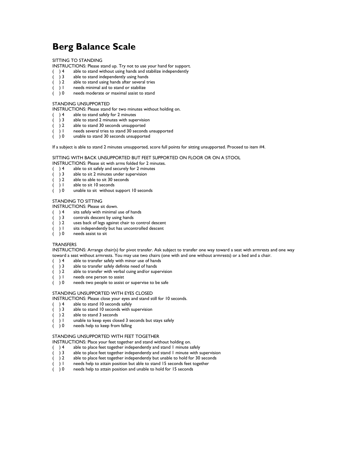# Berg Balance Scale

## SITTING TO STANDING

INSTRUCTIONS: Please stand up. Try not to use your hand for support.

- ( ) 4 able to stand without using hands and stabilize independently<br>
) 3 able to stand independently using hands
- ( ) 3 able to stand independently using hands
- ( ) 2 able to stand using hands after several tries
- ( ) 1 needs minimal aid to stand or stabilize<br>( ) 0 needs moderate or maximal assist to s
- $($   $)$  0 needs moderate or maximal assist to stand

### STANDING UNSUPPORTED

INSTRUCTIONS: Please stand for two minutes without holding on.

- $( ) 4$  able to stand safely for 2 minutes<br> $( ) 3$  able to stand 2 minutes with supe
- ( ) 3 able to stand 2 minutes with supervision
- $( ) 2$  able to stand 30 seconds unsupported
- $( )$  1 areeds several tries to stand 30 seconds unsupported ( ) 0 anable to stand 30 seconds unsupported
- unable to stand 30 seconds unsupported

If a subject is able to stand 2 minutes unsupported, score full points for sitting unsupported. Proceed to item #4.

# SITTING WITH BACK UNSUPPORTED BUT FEET SUPPORTED ON FLOOR OR ON A STOOL

INSTRUCTIONS: Please sit with arms folded for 2 minutes.

- ( ) 4 able to sit safely and securely for 2 minutes<br>( ) 3 able to sit 2 minutes under supervision
- able to sit 2 minutes under supervision
- ( ) 2 able to able to sit 30 seconds
- $( ) 1$  able to sit 10 seconds
- ( ) 0 unable to sit without support 10 seconds

#### STANDING TO SITTING

INSTRUCTIONS: Please sit down.

- ( $)$  4 sits safely with minimal use of hands<br>( $)$  3 controls descent by using hands
- $( )$  3 controls descent by using hands<br> $( )$  2 uses back of legs against chair to
- ( ) 2 uses back of legs against chair to control descent<br>( ) 1 sits independently but has uncontrolled descent
- sits independently but has uncontrolled descent
- ( ) 0 needs assist to sit

#### TRANSFERS

INSTRUCTIONS: Arrange chair(s) for pivot transfer. Ask subject to transfer one way toward a seat with armrests and one way toward a seat without armrests. You may use two chairs (one with and one without armrests) or a bed and a chair.<br>( ) 4 able to transfer safely with minor use of hands

- 
- ( ) 4 able to transfer safely with minor use of hands<br>( ) 3 able to transfer safely definite need of hands
- ( $)$  3 able to transfer safely definite need of hands<br>( $)$  2 able to transfer with verbal cuing and/or sum  $($ ) 2 able to transfer with verbal cuing and/or supervision
- 
- $( )$  1 needs one person to assist<br> $( )$  0 needs two people to assist needs two people to assist or supervise to be safe

#### STANDING UNSUPPORTED WITH EYES CLOSED

INSTRUCTIONS: Please close your eyes and stand still for 10 seconds.

- $( ) 4$  able to stand 10 seconds safely<br> $( ) 3$  able to stand 10 seconds with s
- ( ) 3 able to stand 10 seconds with supervision<br>( ) 2 able to stand 3 seconds
- able to stand 3 seconds
- $( ) 1$  unable to keep eyes closed 3 seconds but stays safely
- ( ) 0 needs help to keep from falling

#### STANDING UNSUPPORTED WITH FEET TOGETHER

INSTRUCTIONS: Place your feet together and stand without holding on.

- 
- ( ) 4 able to place feet together independently and stand 1 minute safely<br>( ) 3 able to place feet together independently and stand 1 minute with s able to place feet together independently and stand 1 minute with supervision
- ( ) 2 able to place feet together independently but unable to hold for 30 seconds<br>( ) I needs help to attain position but able to stand 15 seconds feet together
- ( ) 1 needs help to attain position but able to stand 15 seconds feet together ( ) 0 needs help to attain position and unable to hold for 15 seconds
- needs help to attain position and unable to hold for 15 seconds